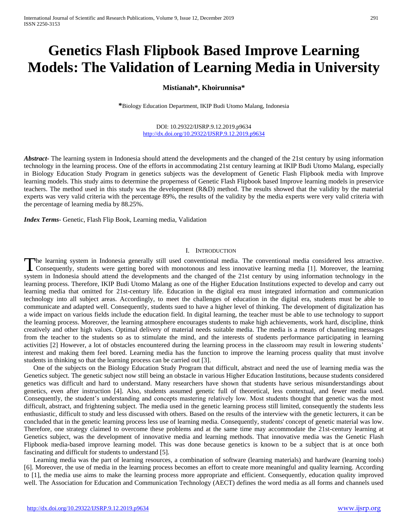# **Genetics Flash Flipbook Based Improve Learning Models: The Validation of Learning Media in University**

# **Mistianah\*, Khoirunnisa\***

**\***Biology Education Department, IKIP Budi Utomo Malang, Indonesia

#### DOI: 10.29322/IJSRP.9.12.2019.p9634 <http://dx.doi.org/10.29322/IJSRP.9.12.2019.p9634>

*Abstract***-** The learning system in Indonesia should attend the developments and the changed of the 21st century by using information technology in the learning process. One of the efforts in accommodating 21st century learning at IKIP Budi Utomo Malang, especially in Biology Education Study Program in genetics subjects was the development of Genetic Flash Flipbook media with Improve learning models. This study aims to determine the properness of Genetic Flash Flipbook based Improve learning models in preservice teachers. The method used in this study was the development (R&D) method. The results showed that the validity by the material experts was very valid criteria with the percentage 89%, the results of the validity by the media experts were very valid criteria with the percentage of learning media by 88.25%.

*Index Terms*- Genetic, Flash Flip Book, Learning media, Validation

#### I. INTRODUCTION

he learning system in Indonesia generally still used conventional media. The conventional media considered less attractive. The learning system in Indonesia generally still used conventional media. The conventional media considered less attractive.<br>Consequently, students were getting bored with monotonous and less innovative learning media [1]. system in Indonesia should attend the developments and the changed of the 21st century by using information technology in the learning process. Therefore, IKIP Budi Utomo Malang as one of the Higher Education Institutions expected to develop and carry out learning media that omitted for 21st-century life. Education in the digital era must integrated information and communication technology into all subject areas. Accordingly, to meet the challenges of education in the digital era, students must be able to communicate and adapted well. Consequently, students sued to have a higher level of thinking. The development of digitalization has a wide impact on various fields include the education field. In digital learning, the teacher must be able to use technology to support the learning process. Moreover, the learning atmosphere encourages students to make high achievements, work hard, discipline, think creatively and other high values. Optimal delivery of material needs suitable media. The media is a means of channeling messages from the teacher to the students so as to stimulate the mind, and the interests of students performance participating in learning activities [2] However, a lot of obstacles encountered during the learning process in the classroom may result in lowering students' interest and making them feel bored. Learning media has the function to improve the learning process quality that must involve students in thinking so that the learning process can be carried out [3].

One of the subjects on the Biology Education Study Program that difficult, abstract and need the use of learning media was the Genetics subject. The genetic subject now still being an obstacle in various Higher Education Institutions, because students considered genetics was difficult and hard to understand. Many researchers have shown that students have serious misunderstandings about genetics, even after instruction [4]. Also, students assumed genetic full of theoretical, less contextual, and fewer media used. Consequently, the student's understanding and concepts mastering relatively low. Most students thought that genetic was the most difficult, abstract, and frightening subject. The media used in the genetic learning process still limited, consequently the students less enthusiastic, difficult to study and less discussed with others. Based on the results of the interview with the genetic lecturers, it can be concluded that in the genetic learning process less use of learning media. Consequently, students' concept of genetic material was low. Therefore, one strategy claimed to overcome these problems and at the same time may accommodate the 21st-century learning at Genetics subject, was the development of innovative media and learning methods. That innovative media was the Genetic Flash Flipbook media-based improve learning model. This was done because genetics is known to be a subject that is at once both fascinating and difficult for students to understand [5].

Learning media was the part of learning resources, a combination of software (learning materials) and hardware (learning tools) [6]. Moreover, the use of media in the learning process becomes an effort to create more meaningful and quality learning. According to [1], the media use aims to make the learning process more appropriate and efficient. Consequently, education quality improved well. The Association for Education and Communication Technology (AECT) defines the word media as all forms and channels used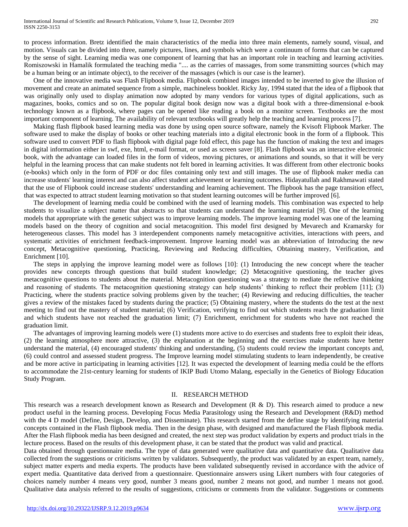to process information. Bretz identified the main characteristics of the media into three main elements, namely sound, visual, and motion. Visuals can be divided into three, namely pictures, lines, and symbols which were a continuum of forms that can be captured by the sense of sight. Learning media was one component of learning that has an important role in teaching and learning activities. Romiszowski in Hamalik formulated the teaching media ".... as the carries of massages, from some transmitting sources (which may be a human being or an intimate object), to the receiver of the massages (which is our case is the learner).

One of the innovative media was Flash Flipbook media. Flipbook combined images intended to be inverted to give the illusion of movement and create an animated sequence from a simple, machineless booklet. Ricky Jay, 1994 stated that the idea of a flipbook that was originally only used to display animation now adopted by many vendors for various types of digital applications, such as magazines, books, comics and so on. The popular digital book design now was a digital book with a three-dimensional e-book technology known as a flipbook, where pages can be opened like reading a book on a monitor screen. Textbooks are the most important component of learning. The availability of relevant textbooks will greatly help the teaching and learning process [7].

Making flash flipbook based learning media was done by using open source software, namely the Kvisoft Flipbook Marker. The software used to make the display of books or other teaching materials into a digital electronic book in the form of a flipbook. This software used to convert PDF to flash flipbook with digital page fold effect, this page has the function of making the text and images in digital information either in swf, exe, html, e-mail format, or used as screen saver [8]. Flash flipbook was an interactive electronic book, with the advantage can loaded files in the form of videos, moving pictures, or animations and sounds, so that it will be very helpful in the learning process that can make students not felt bored in learning activities. It was different from other electronic books (e-books) which only in the form of PDF or doc files containing only text and still images. The use of flipbook maker media can increase students' learning interest and can also affect student achievement or learning outcomes. Hidayatullah and Rakhmawati stated that the use of Flipbook could increase students' understanding and learning achievement. The flipbook has the page transition effect, that was expected to attract student learning motivation so that student learning outcomes will be further improved [6].

The development of learning media could be combined with the used of learning models. This combination was expected to help students to visualize a subject matter that abstracts so that students can understand the learning material [9]. One of the learning models that appropriate with the genetic subject was to improve learning models. The improve learning model was one of the learning models based on the theory of cognition and social metacognition. This model first designed by Mevarech and Kramarsky for heterogeneous classes. This model has 3 interdependent components namely metacognitive activities, interactions with peers, and systematic activities of enrichment feedback-improvement. Improve learning model was an abbreviation of Introducing the new concept, Metacognitive questioning, Practicing, Reviewing and Reducing difficulties, Obtaining mastery, Verification, and Enrichment [10].

The steps in applying the improve learning model were as follows [10]: (1) Introducing the new concept where the teacher provides new concepts through questions that build student knowledge; (2) Metacognitive questioning, the teacher gives metacognitive questions to students about the material. Metacognition questioning was a strategy to mediate the reflective thinking and reasoning of students. The metacognition questioning strategy can help students' thinking to reflect their problem [11]; (3) Practicing, where the students practice solving problems given by the teacher; (4) Reviewing and reducing difficulties, the teacher gives a review of the mistakes faced by students during the practice; (5) Obtaining mastery, where the students do the test at the next meeting to find out the mastery of student material; (6) Verification, verifying to find out which students reach the graduation limit and which students have not reached the graduation limit; (7) Enrichment, enrichment for students who have not reached the graduation limit.

The advantages of improving learning models were (1) students more active to do exercises and students free to exploit their ideas, (2) the learning atmosphere more attractive, (3) the explanation at the beginning and the exercises make students have better understand the material, (4) encouraged students' thinking and understanding, (5) students could review the important concepts and, (6) could control and assessed student progress. The Improve learning model stimulating students to learn independently, be creative and be more active in participating in learning activities [12]. It was expected the development of learning media could be the efforts to accommodate the 21st-century learning for students of IKIP Budi Utomo Malang, especially in the Genetics of Biology Education Study Program.

#### II. RESEARCH METHOD

This research was a research development known as Research and Development (R & D). This research aimed to produce a new product useful in the learning process. Developing Focus Media Parasitology using the Research and Development (R&D) method with the 4 D model (Define, Design, Develop, and Disseminate). This research started from the define stage by identifying material concepts contained in the Flash flipbook media. Then in the design phase, with designed and manufactured the Flash flipbook media. After the Flash flipbook media has been designed and created, the next step was product validation by experts and product trials in the lecture process. Based on the results of this development phase, it can be stated that the product was valid and practical.

Data obtained through questionnaire media. The type of data generated were qualitative data and quantitative data. Qualitative data collected from the suggestions or criticisms written by validators. Subsequently, the product was validated by an expert team, namely, subject matter experts and media experts. The products have been validated subsequently revised in accordance with the advice of expert media. Quantitative data derived from a questionnaire. Questionnaire answers using Likert numbers with four categories of choices namely number 4 means very good, number 3 means good, number 2 means not good, and number 1 means not good. Qualitative data analysis referred to the results of suggestions, criticisms or comments from the validator. Suggestions or comments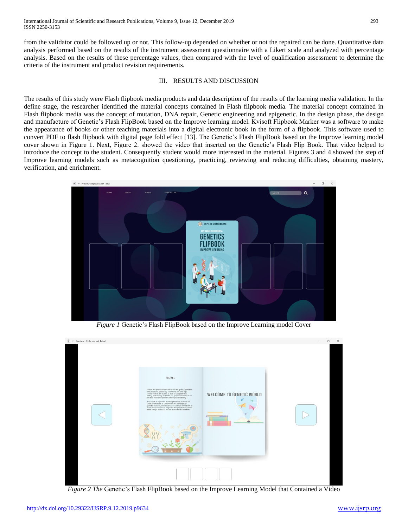from the validator could be followed up or not. This follow-up depended on whether or not the repaired can be done. Quantitative data analysis performed based on the results of the instrument assessment questionnaire with a Likert scale and analyzed with percentage analysis. Based on the results of these percentage values, then compared with the level of qualification assessment to determine the criteria of the instrument and product revision requirements.

## III. RESULTS AND DISCUSSION

The results of this study were Flash flipbook media products and data description of the results of the learning media validation. In the define stage, the researcher identified the material concepts contained in Flash flipbook media. The material concept contained in Flash flipbook media was the concept of mutation, DNA repair, Genetic engineering and epigenetic. In the design phase, the design and manufacture of Genetic's Flash FlipBook based on the Improve learning model. Kvisoft Flipbook Marker was a software to make the appearance of books or other teaching materials into a digital electronic book in the form of a flipbook. This software used to convert PDF to flash flipbook with digital page fold effect [13]. The Genetic's Flash FlipBook based on the Improve learning model cover shown in Figure 1. Next, Figure 2. showed the video that inserted on the Genetic's Flash Flip Book. That video helped to introduce the concept to the student. Consequently student would more interested in the material. Figures 3 and 4 showed the step of Improve learning models such as metacognition questioning, practicing, reviewing and reducing difficulties, obtaining mastery, verification, and enrichment.



*Figure 1* Genetic's Flash FlipBook based on the Improve Learning model Cover



*Figure 2 The* Genetic's Flash FlipBook based on the Improve Learning Model that Contained a Video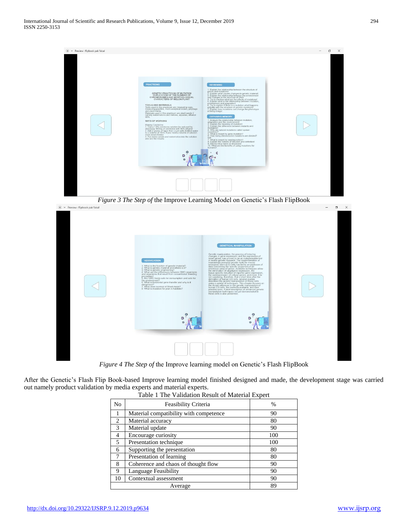| $\bullet$ $\vee$ Preview : flipbook pak faisal |                                                                                                                                                                                                                                                                                                                                                                                                                                                                                                                                                                                                                                                                                                                                                                                                                                                       |                                                                                                                                                                                                                                                                                                                                                                                                                                                                                                                                                                                                                                                                                                                                                                                                                                                                                                                                                                                                                                                                                                                                   | $\times$<br>σ |
|------------------------------------------------|-------------------------------------------------------------------------------------------------------------------------------------------------------------------------------------------------------------------------------------------------------------------------------------------------------------------------------------------------------------------------------------------------------------------------------------------------------------------------------------------------------------------------------------------------------------------------------------------------------------------------------------------------------------------------------------------------------------------------------------------------------------------------------------------------------------------------------------------------------|-----------------------------------------------------------------------------------------------------------------------------------------------------------------------------------------------------------------------------------------------------------------------------------------------------------------------------------------------------------------------------------------------------------------------------------------------------------------------------------------------------------------------------------------------------------------------------------------------------------------------------------------------------------------------------------------------------------------------------------------------------------------------------------------------------------------------------------------------------------------------------------------------------------------------------------------------------------------------------------------------------------------------------------------------------------------------------------------------------------------------------------|---------------|
|                                                | <b>PRACTICING</b><br>GENETIC PRACTICUM OF MUTATION<br>DUPLICATION OF THE NUMBER OF<br>CHROMOSOMES AND MORPHOLOGICAL<br>CHARACTERS OF MELON PLANT<br><b>TOOLS AND MATERIALS</b><br>Tools used in this practicum are measuring cups,<br>measuring pipettes, micro analytical scales, polybags<br>and plant media.<br>Materials used in this practicum are plant seeds 2<br>namely watermelons and melons, aquadas, ethanol<br>90%<br>WAYS OF WORKING<br>Making Colchicine<br>1. Can a 1.0% colchicine solution be reduced by<br>mutagens!<br>dissolving 100mg of colchicine with 90% ethanol<br>2. Add 2 grams of liquin then crush with distilled water<br>mutations?<br>to a volume of 10ml, if you need a volume of solution<br>more doses folded<br>3. Put melon seeds and watermelon into the solution<br>lifett<br>and see the results<br>humans? | <b>REVIEWING</b><br>1. Explain the relationship between the structure of<br>genes and mutations!<br>2. Explain what causes changes in genetic material!<br>3. Explain the relationship between the environment<br>and changes in the structure of DNAI<br>4. Try to mention what are the effects of mutations<br>5. Explain what is the relationship between mutation,<br>environment and adaptation!<br>6. Try to explain if there is a mutation what happens<br>actually with the structure of genetic mutations!<br>7. Explain how mutations can change the phenotype<br>of Iiving things!<br><b>OBTAINING MEMORY</b><br>1. Analyze the relationship between mutation,<br>adaptation and the environment!<br>2. Explain the meaning of mutation!<br>3. Explain the difference between mutants and<br>4. Why are natural mutations called spotan<br>5. What is meant by gene mutation?<br>6. How many chromosome mutations are divided?<br>7. What is meant by needisjunction?<br>8. Explain the notions of delusion and definition!<br>9. Mention four kinds of delusions!<br>10. What are the benefits of using mutations for |               |

*Figure 3 The Step of* the Improve Learning Model on Genetic's Flash FlipBook



*Figure 4 The Step of* the Improve learning model on Genetic's Flash FlipBook

After the Genetic's Flash Flip Book-based Improve learning model finished designed and made, the development stage was carried out namely product validation by media experts and material experts.

| No      | Feasibility Criteria                   | %   |
|---------|----------------------------------------|-----|
|         | Material compatibility with competence | 90  |
| 2       | Material accuracy                      | 80  |
| 3       | Material update                        | 90  |
| 4       | Encourage curiosity                    | 100 |
| 5       | Presentation technique                 | 100 |
| 6       | Supporting the presentation            | 80  |
| 7       | Presentation of learning               | 80  |
| 8       | Coherence and chaos of thought flow    | 90  |
| 9       | Language Feasibility                   | 90  |
| 10      | Contextual assessment                  | 90  |
| Average |                                        | 89  |

Table 1 The Validation Result of Material Expert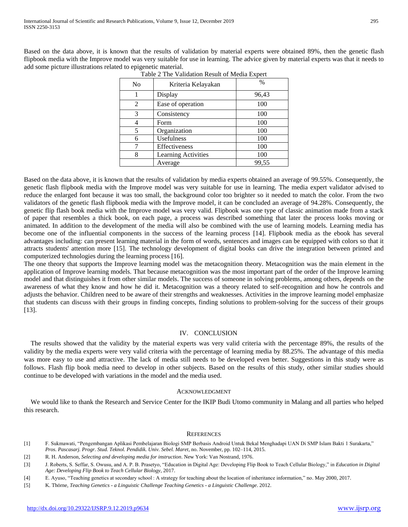Based on the data above, it is known that the results of validation by material experts were obtained 89%, then the genetic flash flipbook media with the Improve model was very suitable for use in learning. The advice given by material experts was that it needs to add some picture illustrations related to epigenetic material.

| Tuble 2 The Vandalion Result of Media Expert |                            |       |  |  |
|----------------------------------------------|----------------------------|-------|--|--|
| No                                           | Kriteria Kelayakan         | $\%$  |  |  |
|                                              | Display                    | 96,43 |  |  |
| 2                                            | Ease of operation          | 100   |  |  |
| 3                                            | Consistency                | 100   |  |  |
|                                              | Form                       | 100   |  |  |
| 5                                            | Organization               | 100   |  |  |
| 6                                            | Usefulness                 | 100   |  |  |
|                                              | Effectiveness              | 100   |  |  |
|                                              | <b>Learning Activities</b> | 100   |  |  |
|                                              | Average                    | 99,55 |  |  |

| Table 2 The Validation Result of Media Expert |  |
|-----------------------------------------------|--|
|-----------------------------------------------|--|

Based on the data above, it is known that the results of validation by media experts obtained an average of 99.55%. Consequently, the genetic flash flipbook media with the Improve model was very suitable for use in learning. The media expert validator advised to reduce the enlarged font because it was too small, the background color too brighter so it needed to match the color. From the two validators of the genetic flash flipbook media with the Improve model, it can be concluded an average of 94.28%. Consequently, the genetic flip flash book media with the Improve model was very valid. Flipbook was one type of classic animation made from a stack of paper that resembles a thick book, on each page, a process was described something that later the process looks moving or animated. In addition to the development of the media will also be combined with the use of learning models. Learning media has become one of the influential components in the success of the learning process [14]. Flipbook media as the ebook has several advantages including: can present learning material in the form of words, sentences and images can be equipped with colors so that it attracts students' attention more [15]. The technology development of digital books can drive the integration between printed and computerized technologies during the learning process [16].

The one theory that supports the Improve learning model was the metacognition theory. Metacognition was the main element in the application of Improve learning models. That because metacognition was the most important part of the order of the Improve learning model and that distinguishes it from other similar models. The success of someone in solving problems, among others, depends on the awareness of what they know and how he did it. Metacognition was a theory related to self-recognition and how he controls and adjusts the behavior. Children need to be aware of their strengths and weaknesses. Activities in the improve learning model emphasize that students can discuss with their groups in finding concepts, finding solutions to problem-solving for the success of their groups [13].

## IV. CONCLUSION

The results showed that the validity by the material experts was very valid criteria with the percentage 89%, the results of the validity by the media experts were very valid criteria with the percentage of learning media by 88.25%. The advantage of this media was more easy to use and attractive. The lack of media still needs to be developed even better. Suggestions in this study were as follows. Flash flip book media need to develop in other subjects. Based on the results of this study, other similar studies should continue to be developed with variations in the model and the media used.

## ACKNOWLEDGMENT

We would like to thank the Research and Service Center for the IKIP Budi Utomo community in Malang and all parties who helped this research.

## **REFERENCES**

- [1] F. Sukmawati, "Pengembangan Aplikasi Pembelajaran Biologi SMP Berbasis Android Untuk Bekal Menghadapi UAN Di SMP Islam Bakti 1 Surakarta," *Pros. Pascasarj. Progr. Stud. Teknol. Pendidik. Univ. Sebel. Maret*, no. November, pp. 102–114, 2015.
- [2] R. H. Anderson, *Selecting and developing media for instruction*. New York: Van Nostrand, 1976.
- [3] J. Roberts, S. Seffar, S. Owusu, and A. P. B. Prasetyo, "Education in Digital Age: Developing Flip Book to Teach Cellular Biology," in *Education in Digital Age: Developing Flip Book to Teach Cellular Biology*, 2017.
- [4] E. Ayuso, "Teaching genetics at secondary school : A strategy for teaching about the location of inheritance information," no. May 2000, 2017.
- [5] K. Thörne, *Teaching Genetics - a Linguistic Challenge Teaching Genetics - a Linguistic Challenge*. 2012.